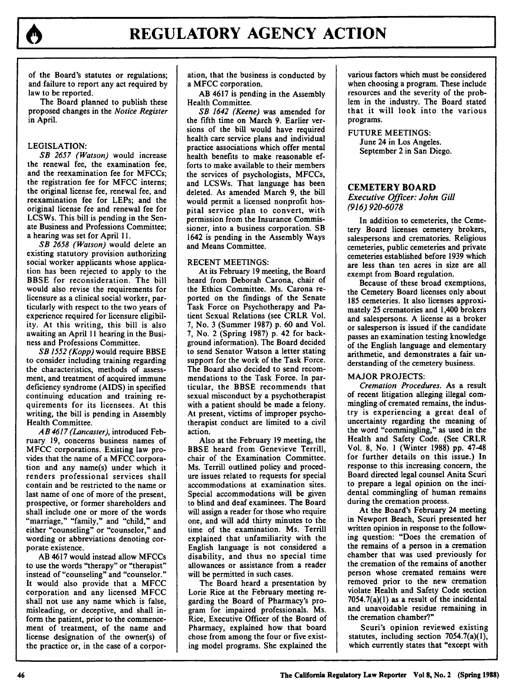

of the Board's statutes or regulations; and failure to report any act required **by** law to be reported.

The Board planned to publish these proposed changes in the *Notice Register* in April.

# LEGISLATION:

*SB 2657 (Watson)* would increase the renewal fee, the examination fee, and the reexamination fee for MFCCs; the registration fee for **MFCC** interns; the original license fee, renewal fee, and reexamination fee for LEPs; and the original license fee and renewal fee for LCSWs. This bill is pending in the Senate Business and Professions Committee; a hearing was set for April 11.

*SB 2658 (Watson)* would delete an existing statutory provision authorizing social worker applicants whose application has been rejected to apply to the BBSE for reconsideration. The bill would also revise the requirements for licensure as a clinical social worker, particularly with respect to the two years of experience required for licensure eligibility. At this writing, this bill is also awaiting an April 11 hearing in the Business and Professions Committee.

*SB 1552 (Kopp)* would require BBSE to consider including training regarding the characteristics, methods of assessment, and treatment of acquired immune deficiency syndrome (AIDS) in specified continuing education and training requirements for its licensees. At this writing, the bill is pending in Assembly Health Committee.

*AB 4617 (Lancaster),* introduced February **19,** concerns business names of MFCC corporations. Existing law provides that the name of a MFCC corporation and any name(s) under which it renders professional services shall contain and be restricted to the name or last name of one of more of the present, prospective, or former shareholders and shall include one or more of the words "marriage," "family," and "child," and either "counseling" or "counselor," and wording or abbreviations denoting corporate existence.

AB 4617 would instead allow MFCCs to use the words "therapy" or "therapist" instead of "counseling" and "counselor." It would also provide that a MFCC corporation and any licensed MFCC shall not use any name which is false, misleading, or deceptive, and shall inform the patient, prior to the commencement of treatment, of the name and license designation of the owner(s) of the practice or, in the case of a corporation, that the business is conducted **by** a **MFCC** corporation.

AB 4617 is pending in the Assembly Health Committee.

*SB 1642 (Keene)* was amended for the fifth time on March **9.** Earlier versions of the bill would have required health care service plans and individual practice associations which offer mental health benefits to make reasonable efforts to make available to their members the services of psychologists, MFCCs, and LCSWs. That language has been deleted. As amended March 9, the bill would permit a licensed nonprofit hospital service plan to convert, with permission from the Insurance Commissioner, into a business corporation. SB 1642 is pending in the Assembly Ways and Means Committee.

#### RECENT MEETINGS:

At its February 19 meeting, the Board heard from Deborah Carona, chair of the Ethics Committee. Ms. Carona reported on the findings of the Senate Task Force on Psychotherapy and Patient Sexual Relations (see CRLR Vol. 7, No. 3 (Summer 1987) p. 60 and Vol. 7, No. 2 (Spring 1987) p. 42 for background information). The Board decided to send Senator Watson a letter stating support for the work of the Task Force. The Board also decided to send recommendations to the Task Force. In particular, the BBSE recommends that sexual misconduct by a psychotherapist with a patient should be made a felony. At present, victims of improper psychotherapist conduct are limited to a civil action.

Also at the February 19 meeting, the BBSE heard from Genevieve Terrill, chair of the Examination Committee. Ms. Terrill outlined policy and procedure issues related to requests for special accommodations at examination sites. Special accommodations will be given to blind and deaf examinees. The Board will assign a reader for those who require one, and will add thirty minutes to the time of the examination. Ms. Terrill explained that unfamiliarity with the English language is not considered a disability, and thus no special time allowances or assistance from a reader will be permitted in such cases.

The Board heard a presentation by Lorie Rice at the February meeting regarding the Board of Pharmacy's program for impaired professionals. Ms. Rice, Executive Officer of the Board of Pharmacy, explained how that board chose from among the four or five existing model programs. She explained the various factors which must be considered when choosing a program. These include resources and the severity of the problem in the industry. The Board stated that it will look into the various programs.

FUTURE MEETINGS: June 24 in Los Angeles. September 2 in San Diego.

## **CEMETERY BOARD**

*Executive Officer: John Gill (916) 920-6078*

In addition to cemeteries, the Cemetery Board licenses cemetery brokers, salespersons and crematories. Religious cemeteries, public cemeteries and private cemeteries established before 1939 which are less than ten acres in size are all exempt from Board regulation.

Because of these broad exemptions, the Cemetery Board licenses only about **185** cemeteries. It also licenses approximately 25 crematories and 1,400 brokers and salespersons. A license as a broker or salesperson is issued if the candidate passes an examination testing knowledge of the English language and elementary arithmetic, and demonstrates a fair understanding of the cemetery business.

#### MAJOR PROJECTS:

*Cremation Procedures.* As a result of recent litigation alleging illegal commingling of cremated remains, the industry is experiencing a great deal of uncertainty regarding the meaning of the word "commingling," as used in the Health and Safety Code. (See CRLR Vol. 8, No. **I** (Winter 1988) pp. 47-48 for further details on this issue.) In response to this increasing concern, the Board directed legal counsel Anita Scuri to prepare a legal opinion on the incidental commingling of human remains during the cremation process.

At the Board's February 24 meeting in Newport Beach, Scuri presented her written opinion in response to the following question: "Does the cremation of the remains of a person in a cremation chamber that was used previously for the cremation of the remains of another person whose cremated remains were removed prior to the new cremation violate Health and Safety Code section 7054.7(a)(1) as a result of the incidental and unavoidable residue remaining in the cremation chamber?"

Scuri's opinion reviewed existing statutes, including section 7054.7(a)(1), which currently states that "except with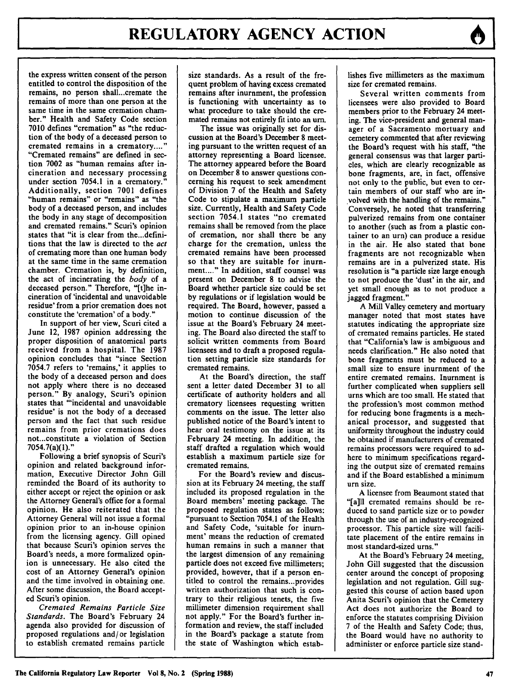the express written consent of the person entitled to control the disposition of the remains, no person shall...cremate the remains of more than one person at the same time in the same cremation chamber." Health and Safety Code section **7010** defines "cremation" as "the reduction of the body of a deceased person to cremated remains in a crematory....' "Cremated remains" are defined in section **7002** as "human remains after incineration and necessary processing under section 7054.1 in a crematory. Additionally, section **7001** defines "human remains" or "remains" as "the body of a deceased person, and includes the body in any stage of decomposition and cremated remains." Scuri's opinion states that "it is clear from the...definitions that the law is directed to the *act* of cremating more than one human body at the same time in the same cremation chamber. Cremation is, **by** definition, the act of incinerating the *body* of a deceased person." Therefore, "[t]he incineration of 'incidental and unavoidable residue' from a prior cremation does not constitute the 'cremation' of a body."

In support of her view, Scuri cited a June 12, **1987** opinion addressing the proper disposition of anatomical parts received from a hospital. The **1987** opinion concludes that "since Section **7054.7** refers to 'remains,' it applies to the body of a deceased person and does not apply where there is no deceased person." **By** analogy, Scuri's opinion states that "incidental and unavoidable residue' is not the body of a deceased person and the fact that such residue remains from prior cremations does not...constitute a violation of Section 7054.7(a)(1)."

Following a brief synopsis of Scuri's opinion and related background information, Executive Director John Gill reminded the Board of its authority to either accept or reject the opinion or ask the Attorney General's office for a formal opinion. He also reiterated that the Attorney General will not issue a formal opinion prior to an in-house opinion from the licensing agency. Gill opined that because Scuri's opinion serves the Board's needs, a more formalized opinion is unnecessary. He also cited the cost of an Attorney General's opinion and the time involved in obtaining one. After some discussion, the Board accepted Scuri's opinion.

*Cremated Remains Particle Size Standards.* The Board's February 24 agenda also provided for discussion of proposed regulations and/or legislation to establish cremated remains particle size standards. As a result of the frequent problem of having excess cremated remains after inurnment, the profession is functioning with uncertainty as to what procedure to take should the cremated remains not entirely fit into an urn.

The issue was originally set for discussion at the Board's December **8** meeting pursuant to the written request of an attorney representing a Board licensee. The attorney appeared before the Board on December **8** to answer questions concerning his request to seek amendment of Division **7** of the Health and Safety Code to stipulate a maximum particle size. Currently, Health and Safety Code section 7054.1 states "no cremated remains shall be removed from the place of cremation, nor shall there be any charge for the cremation, unless the cremated remains have been processed so that they are suitable for inurn**ment...."** In addition, staff counsel was present on December 8 to advise the Board whether particle size could be set by regulations or if legislation would be required. The Board, however, passed a motion to continue discussion of the issue at the Board's February 24 meeting. The Board also directed the staff to solicit written comments from Board licensees and to draft a proposed regulation setting particle size standards for cremated remains.

At the Board's direction, the staff sent a letter dated December **31** to all certificate of authority holders and all crematory licensees requesting written comments on the issue. The letter also published notice of the Board's intent to hear oral testimony on the issue at its February 24 meeting. In addition, the staff drafted a regulation which would establish a maximum particle size for cremated remains.

For the Board's review and discussion at its February 24 meeting, the staff included its proposed regulation in the Board members' meeting package. The proposed regulation states as follows: "pursuant to Section 7054.1 of the Health and Safety Code, 'suitable for inurnment' means the reduction of cremated human remains in such a manner that the largest dimension of any remaining particle does not exceed five millimeters; provided, however, that if a person entitled to control the remains...provides written authorization that such is contrary to their religious tenets, the five millimeter dimension requirement shall not apply." For the Board's further information and review, the staff included in the Board's package a statute from the state of Washington which establishes five millimeters as the maximum size for cremated remains.

Several written comments from licensees were also provided to Board members prior to the February 24 meeting. The vice-president and general manager of a Sacramento mortuary and cemetery commented that after reviewing the Board's request with his staff, "the general consensus was that larger particles, which are clearly recognizable as bone fragments, are, in fact, offensive not only to the public, but even to certain members of our staff who are involved with the handling of the remains." Conversely, he noted that transferring pulverized remains from one container to another (such as from a plastic container to an urn) can produce a residue in the air. He also stated that bone fragments are not recognizable when remains are in a pulverized state. His resolution is "a particle size large enough to not produce the 'dust' in the air, and yet small enough as to not produce a jagged fragment."

A Mill Valley cemetery and mortuary manager noted that most states have statutes indicating the appropriate size of cremated remains particles. He stated that "California's law is ambiguous and needs clarification." He also noted that bone fragments must be reduced to a small size to ensure inurnment of the entire cremated remains. Inurnment is further complicated when suppliers sell urns which are too small. He stated that the profession's most common method for reducing bone fragments is a mechanical processor, and suggested that uniformity throughout the industry could be obtained if manufacturers of cremated remains processors were required to adhere to minimum specifications regarding the output size of cremated remains and if the Board established a minimum urn size.

A licensee from Beaumont stated that "[a]ll cremated remains should be reduced to sand particle size or to powder through the use of an industry-recognized processor. This particle size will facilitate placement of the entire remains in most standard-sized urns."

At the Board's February 24 meeting, John Gill suggested that the discussion center around the concept of proposing legislation and not regulation. Gill suggested this course of action based upon Anita Scuri's opinion that the Cemetery Act does not authorize the Board to enforce the statutes comprising Division 7 of the Health and Safety Code; thus, the Board would have no authority to administer or enforce particle size stand-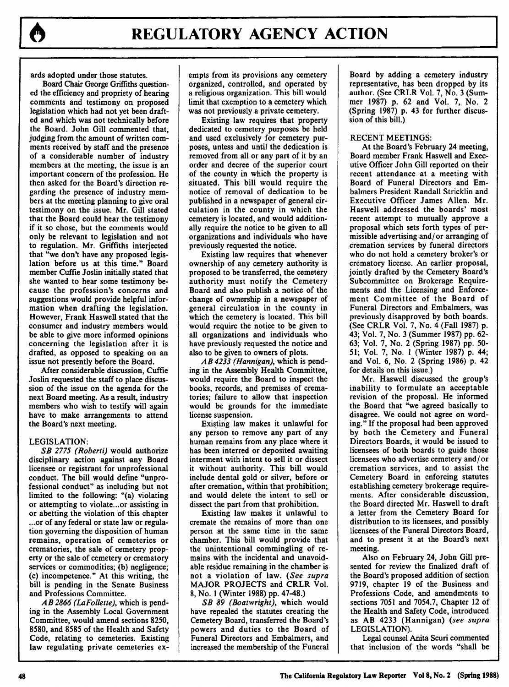

ards adopted under those statutes.

Board Chair George Griffiths questioned the efficiency and propriety of hearing comments and testimony on proposed legislation which had not yet been drafted and which was not technically before the Board. John Gill commented that, judging from the amount of written comments received **by** staff and the presence of a considerable number of industry members at the meeting, the issue is an important concern of the profession. He then asked for the Board's direction regarding the presence of industry members at the meeting planning to give oral testimony on the issue. Mr. Gill stated that the Board could hear the testimony if it so chose, but the comments would only be relevant to legislation and not to regulation. Mr. Griffiths interjected that **"we** don't have any proposed legislation before us at this time." Board member Cuffie Joslin initially stated that she wanted to hear some testimony because the profession's concerns and suggestions would provide helpful information when drafting the legislation. However, Frank Haswell stated that the consumer and industry members would be able to give more informed opinions concerning the legislation after it is drafted, as opposed to speaking on an issue not presently before the Board.

After considerable discussion, Cuffie Joslin requested the staff to place discussion of the issue on the agenda for the next Board meeting. As a result, industry members who wish to testify will again have to make arrangements to attend the Board's next meeting.

#### LEGISLATION:

*SB 2775 (Roberti)* would authorize disciplinary action against any Board licensee or registrant for unprofessional conduct. The bill would define "unprofessional conduct" as including but not limited to the following: "(a) violating or attempting to violate...or assisting in or abetting the violation of this chapter **...or** of any federal or state law or regulation governing the disposition of human remains, operation of cemeteries or crematories, the sale of cemetery property or the sale of cemetery or crematory services or commodities; **(b)** negligence; (c) incompetence." At this writing, the bill is pending in the Senate Business and Professions Committee.

*AB 2866 (LaFollette),* which is pending in the Assembly Local Government Committee, would amend sections **8250, 8580,** and **8585** of the Health and Safety Code, relating to cemeteries. Existing law regulating private cemeteries exempts from its provisions any cemetery organized, controlled, and operated **by** a religious organization. This bill would limit that exemption to a cemetery which was not previously a private cemetery.

Existing **law** requires that property dedicated to cemetery purposes be held and used exclusively for cemetery purposes, unless and until the dedication is removed from all or any part of it **by** an order and decree of the superior court of the county in which the property is situated. This bill would require the notice of removal of dedication to be published in a newspaper of general circulation in the county in which the cemetery is located, and would additionally require the notice to be given to all organizations and individuals who have previously requested the notice.

Existing law requires that whenever ownership of any cemetery authority is proposed to be transferred, the cemetery authority must notify the Cemetery Board and also publish a notice of the change of ownership in a newspaper of general circulation in the county in which the cemetery is located. This bill would require the notice to be given to all organizations and individuals who have previously requested the notice and also to be given to owners of plots.

*AB 4233 (Hannigan),* which is pending in the Assembly Health Committee, would require the Board to inspect the books, records, and premises of crematories; failure to allow that inspection would be grounds for the immediate license suspension.

Existing law makes it unlawful for any person to remove any part of any human remains from any place where it has been interred or deposited awaiting interment with intent to sell it or dissect it without authority. This bill would include dental gold or silver, before or after cremation, within that prohibition; and would delete the intent to sell or dissect the part from that prohibition.

Existing law makes it unlawful to cremate the remains of more than one person at the same time in the same chamber. This bill would provide that the unintentional commingling of remains with the incidental and unavoidable residue remaining in the chamber is not a violation of law. *(See supra* MAJOR **PROJECTS** and CRLR Vol. **8,** No. **1** (Winter **1988) pp.** 47-48.)

*SB 89 (Boatwright),* which would have repealed the statutes creating the Cemetery Board, transferred the Board's powers and duties to the Board of Funeral Directors and Embalmers, and increased the membership of the Funeral Board **by** adding a cemetery industry representative, has been dropped **by** its author. (See CRLR Vol. **7,** No. **3** (Summer **1987) p. 62** and Vol. **7,** No. 2 (Spring **1987) p.** 43 for further discussion of this bill.)

### **RECENT** MEETINGS:

At the Board's February 24 meeting, Board member Frank Haswell and Executive Officer John Gill reported on their recent attendance at a meeting with Board of Funeral Directors and Embalmers President Randall Stricklin and Executive Officer James Allen. Mr. Haswell addressed the boards' most recent attempt to mutually approve a proposal which sets forth types of permissible advertising and/or arranging of cremation services by funeral directors who do not hold a cemetery broker's or crematory license. An earlier proposal, jointly drafted by the Cemetery Board's Subcommittee on Brokerage Requirements and the Licensing and Enforcement Committee of the Board of Funeral Directors and Embalmers, was previously disapproved by both boards. (See CRLR Vol. 7, No. 4 (Fall 1987) p. 43; Vol. 7, No. 3 (Summer 1987) pp. **62-** 63; Vol. 7, No. 2 (Spring 1987) pp. **50-** 51; Vol. 7, No. I (Winter 1987) p. 44; and Vol. 6, No. 2 (Spring 1986) p. 42 for details on this issue.)

Mr. Haswell discussed the group's inability to formulate an acceptable revision of the proposal. He informed the Board that "we agreed basically to disagree. We could not agree on wording." If the proposal had been approved **by** both the Cemetery and Funeral Directors Boards, it would be issued to licensees of both boards to guide those licensees who advertise cemetery and/or cremation services, and to assist the Cemetery Board in enforcing statutes establishing cemetery brokerage requirements. After considerable discussion, the Board directed Mr. Haswell to draft a letter from the Cemetery Board for distribution to its licensees, and possibly licensees of the Funeral Directors Board, and to present it at the Board's next meeting.

Also on February 24, John Gill presented for review the finalized draft of the Board's proposed addition of section **9719,** chapter **19** of the Business and Professions Code, and amendments to sections **7051** and **7054.7,** Chapter 12 of the Health and Safety Code, introduced as AB 4233 (Hannigan) *(see supra* LEGISLATION).

Legal counsel Anita Scuri commented that inclusion of the words "shall be